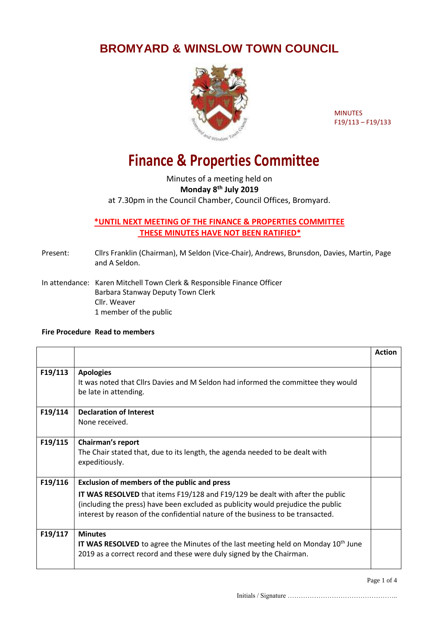## **BROMYARD & WINSLOW TOWN COUNCIL**



MINUTES F19/113 – F19/133

## **Finance & Properties Committee**

Minutes of a meeting held on **Monday 8th July 2019** at 7.30pm in the Council Chamber, Council Offices, Bromyard.

## **\*UNTIL NEXT MEETING OF THE FINANCE & PROPERTIES COMMITTEE THESE MINUTES HAVE NOT BEEN RATIFIED\***

- Present: Cllrs Franklin (Chairman), M Seldon (Vice-Chair), Andrews, Brunsdon, Davies, Martin, Page and A Seldon.
- In attendance: Karen Mitchell Town Clerk & Responsible Finance Officer Barbara Stanway Deputy Town Clerk Cllr. Weaver 1 member of the public

## **Fire Procedure Read to members**

|         |                                                                                                              | <b>Action</b> |
|---------|--------------------------------------------------------------------------------------------------------------|---------------|
|         |                                                                                                              |               |
| F19/113 | <b>Apologies</b><br>It was noted that Cllrs Davies and M Seldon had informed the committee they would        |               |
|         | be late in attending.                                                                                        |               |
|         |                                                                                                              |               |
| F19/114 | <b>Declaration of Interest</b>                                                                               |               |
|         | None received.                                                                                               |               |
|         |                                                                                                              |               |
| F19/115 | <b>Chairman's report</b>                                                                                     |               |
|         | The Chair stated that, due to its length, the agenda needed to be dealt with<br>expeditiously.               |               |
|         |                                                                                                              |               |
| F19/116 | Exclusion of members of the public and press                                                                 |               |
|         | <b>IT WAS RESOLVED</b> that items F19/128 and F19/129 be dealt with after the public                         |               |
|         | (including the press) have been excluded as publicity would prejudice the public                             |               |
|         | interest by reason of the confidential nature of the business to be transacted.                              |               |
|         |                                                                                                              |               |
| F19/117 | <b>Minutes</b><br><b>IT WAS RESOLVED</b> to agree the Minutes of the last meeting held on Monday $10th$ June |               |
|         | 2019 as a correct record and these were duly signed by the Chairman.                                         |               |
|         |                                                                                                              |               |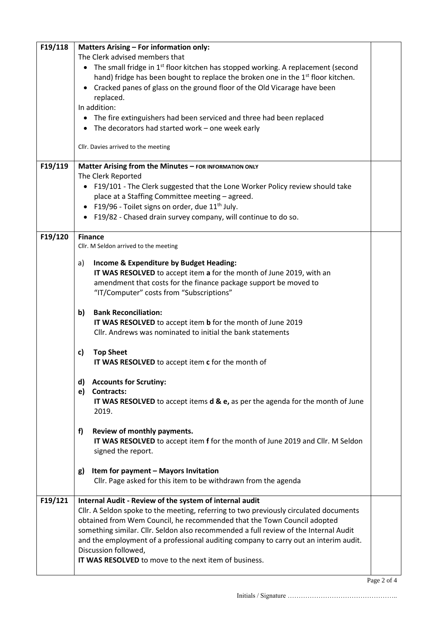| F19/118 | <b>Matters Arising - For information only:</b>                                                                        |  |
|---------|-----------------------------------------------------------------------------------------------------------------------|--|
|         | The Clerk advised members that                                                                                        |  |
|         | • The small fridge in $1^{st}$ floor kitchen has stopped working. A replacement (second                               |  |
|         | hand) fridge has been bought to replace the broken one in the 1 <sup>st</sup> floor kitchen.                          |  |
|         | • Cracked panes of glass on the ground floor of the Old Vicarage have been                                            |  |
|         | replaced.                                                                                                             |  |
|         | In addition:                                                                                                          |  |
|         | • The fire extinguishers had been serviced and three had been replaced                                                |  |
|         | The decorators had started work - one week early                                                                      |  |
|         | Cllr. Davies arrived to the meeting                                                                                   |  |
|         |                                                                                                                       |  |
| F19/119 | Matter Arising from the Minutes - FOR INFORMATION ONLY                                                                |  |
|         | The Clerk Reported                                                                                                    |  |
|         | • F19/101 - The Clerk suggested that the Lone Worker Policy review should take                                        |  |
|         | place at a Staffing Committee meeting - agreed.                                                                       |  |
|         | • F19/96 - Toilet signs on order, due $11^{th}$ July.                                                                 |  |
|         | • F19/82 - Chased drain survey company, will continue to do so.                                                       |  |
| F19/120 | <b>Finance</b>                                                                                                        |  |
|         | Cllr. M Seldon arrived to the meeting                                                                                 |  |
|         |                                                                                                                       |  |
|         | Income & Expenditure by Budget Heading:<br>a)<br>IT WAS RESOLVED to accept item a for the month of June 2019, with an |  |
|         | amendment that costs for the finance package support be moved to                                                      |  |
|         | "IT/Computer" costs from "Subscriptions"                                                                              |  |
|         |                                                                                                                       |  |
|         | <b>Bank Reconciliation:</b><br>b)                                                                                     |  |
|         | IT WAS RESOLVED to accept item b for the month of June 2019                                                           |  |
|         | Cllr. Andrews was nominated to initial the bank statements                                                            |  |
|         |                                                                                                                       |  |
|         | c)<br><b>Top Sheet</b>                                                                                                |  |
|         | IT WAS RESOLVED to accept item c for the month of                                                                     |  |
|         | <b>Accounts for Scrutiny:</b><br>d)                                                                                   |  |
|         | e) Contracts:                                                                                                         |  |
|         | IT WAS RESOLVED to accept items d & e, as per the agenda for the month of June                                        |  |
|         | 2019.                                                                                                                 |  |
|         |                                                                                                                       |  |
|         | Review of monthly payments.<br>f)                                                                                     |  |
|         | IT WAS RESOLVED to accept item f for the month of June 2019 and Cllr. M Seldon<br>signed the report.                  |  |
|         |                                                                                                                       |  |
|         | Item for payment - Mayors Invitation<br>g)                                                                            |  |
|         | Cllr. Page asked for this item to be withdrawn from the agenda                                                        |  |
|         |                                                                                                                       |  |
| F19/121 | Internal Audit - Review of the system of internal audit                                                               |  |
|         | Cllr. A Seldon spoke to the meeting, referring to two previously circulated documents                                 |  |
|         | obtained from Wem Council, he recommended that the Town Council adopted                                               |  |
|         | something similar. Cllr. Seldon also recommended a full review of the Internal Audit                                  |  |
|         | and the employment of a professional auditing company to carry out an interim audit.<br>Discussion followed,          |  |
|         | IT WAS RESOLVED to move to the next item of business.                                                                 |  |
|         |                                                                                                                       |  |

Initials / Signature …………………………………………..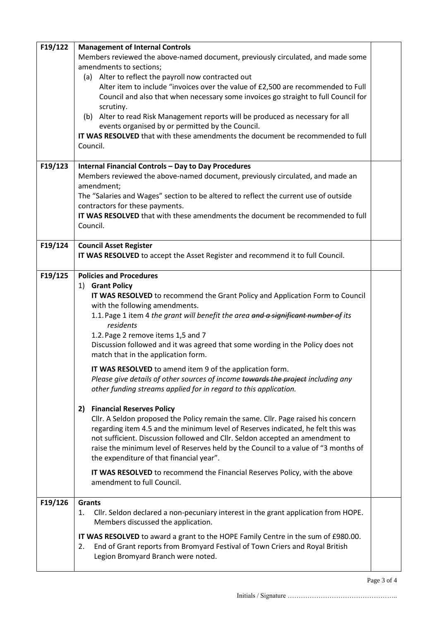| F19/122 | <b>Management of Internal Controls</b><br>Members reviewed the above-named document, previously circulated, and made some<br>amendments to sections;<br>(a) Alter to reflect the payroll now contracted out<br>Alter item to include "invoices over the value of £2,500 are recommended to Full<br>Council and also that when necessary some invoices go straight to full Council for<br>scrutiny.<br>(b) Alter to read Risk Management reports will be produced as necessary for all<br>events organised by or permitted by the Council.<br>IT WAS RESOLVED that with these amendments the document be recommended to full<br>Council.                                                                                                                                                                                                                                                                                                                                                                                                                                                |  |
|---------|----------------------------------------------------------------------------------------------------------------------------------------------------------------------------------------------------------------------------------------------------------------------------------------------------------------------------------------------------------------------------------------------------------------------------------------------------------------------------------------------------------------------------------------------------------------------------------------------------------------------------------------------------------------------------------------------------------------------------------------------------------------------------------------------------------------------------------------------------------------------------------------------------------------------------------------------------------------------------------------------------------------------------------------------------------------------------------------|--|
| F19/123 | <b>Internal Financial Controls - Day to Day Procedures</b><br>Members reviewed the above-named document, previously circulated, and made an<br>amendment;<br>The "Salaries and Wages" section to be altered to reflect the current use of outside<br>contractors for these payments.<br>IT WAS RESOLVED that with these amendments the document be recommended to full<br>Council.                                                                                                                                                                                                                                                                                                                                                                                                                                                                                                                                                                                                                                                                                                     |  |
| F19/124 | <b>Council Asset Register</b><br>IT WAS RESOLVED to accept the Asset Register and recommend it to full Council.                                                                                                                                                                                                                                                                                                                                                                                                                                                                                                                                                                                                                                                                                                                                                                                                                                                                                                                                                                        |  |
| F19/125 | <b>Policies and Procedures</b><br>1) Grant Policy<br>IT WAS RESOLVED to recommend the Grant Policy and Application Form to Council<br>with the following amendments.<br>1.1. Page 1 item 4 the grant will benefit the area and a significant number of its<br>residents<br>1.2. Page 2 remove items 1,5 and 7<br>Discussion followed and it was agreed that some wording in the Policy does not<br>match that in the application form.<br>IT WAS RESOLVED to amend item 9 of the application form.<br>Please give details of other sources of income towards the project including any<br>other funding streams applied for in regard to this application.<br>2) Financial Reserves Policy<br>Cllr. A Seldon proposed the Policy remain the same. Cllr. Page raised his concern<br>regarding item 4.5 and the minimum level of Reserves indicated, he felt this was<br>not sufficient. Discussion followed and Cllr. Seldon accepted an amendment to<br>raise the minimum level of Reserves held by the Council to a value of "3 months of<br>the expenditure of that financial year". |  |
|         | IT WAS RESOLVED to recommend the Financial Reserves Policy, with the above<br>amendment to full Council.                                                                                                                                                                                                                                                                                                                                                                                                                                                                                                                                                                                                                                                                                                                                                                                                                                                                                                                                                                               |  |
| F19/126 | <b>Grants</b><br>Cllr. Seldon declared a non-pecuniary interest in the grant application from HOPE.<br>1.                                                                                                                                                                                                                                                                                                                                                                                                                                                                                                                                                                                                                                                                                                                                                                                                                                                                                                                                                                              |  |
|         | Members discussed the application.                                                                                                                                                                                                                                                                                                                                                                                                                                                                                                                                                                                                                                                                                                                                                                                                                                                                                                                                                                                                                                                     |  |
|         | IT WAS RESOLVED to award a grant to the HOPE Family Centre in the sum of £980.00.<br>End of Grant reports from Bromyard Festival of Town Criers and Royal British<br>2.<br>Legion Bromyard Branch were noted.                                                                                                                                                                                                                                                                                                                                                                                                                                                                                                                                                                                                                                                                                                                                                                                                                                                                          |  |